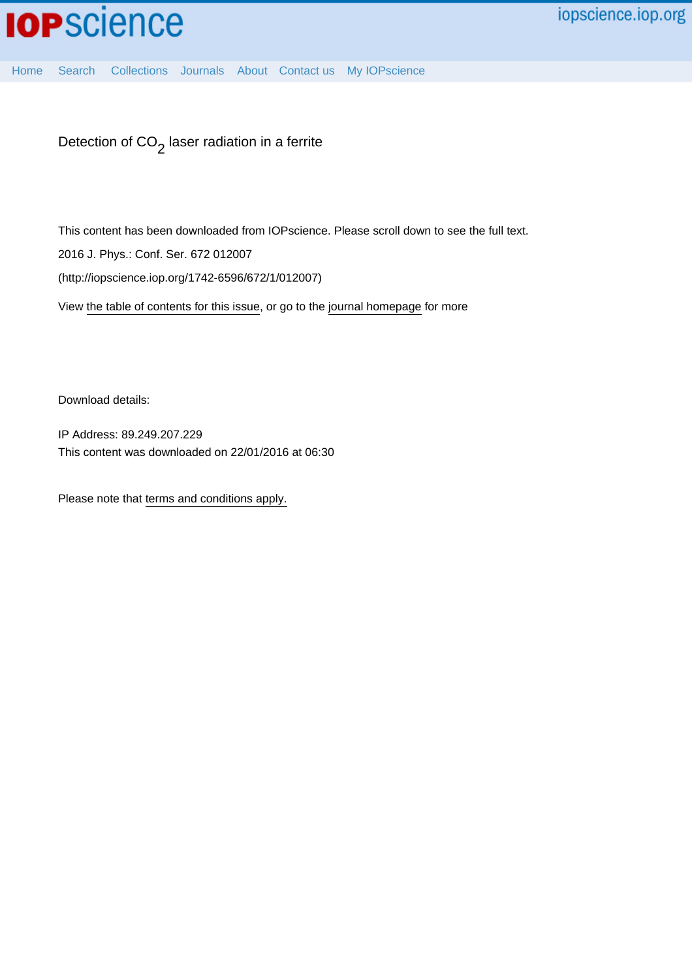

[Home](http://iopscience.iop.org/) [Search](http://iopscience.iop.org/search) [Collections](http://iopscience.iop.org/collections) [Journals](http://iopscience.iop.org/journals) [About](http://iopscience.iop.org/page/aboutioppublishing) [Contact us](http://iopscience.iop.org/contact) [My IOPscience](http://iopscience.iop.org/myiopscience)

Detection of CO $_{\rm 2}$  laser radiation in a ferrite

This content has been downloaded from IOPscience. Please scroll down to see the full text.

2016 J. Phys.: Conf. Ser. 672 012007

(http://iopscience.iop.org/1742-6596/672/1/012007)

View [the table of contents for this issue](http://iopscience.iop.org/1742-6596/672/1), or go to the [journal homepage](http://iopscience.iop.org/1742-6596) for more

Download details:

IP Address: 89.249.207.229 This content was downloaded on 22/01/2016 at 06:30

Please note that [terms and conditions apply.](iopscience.iop.org/page/terms)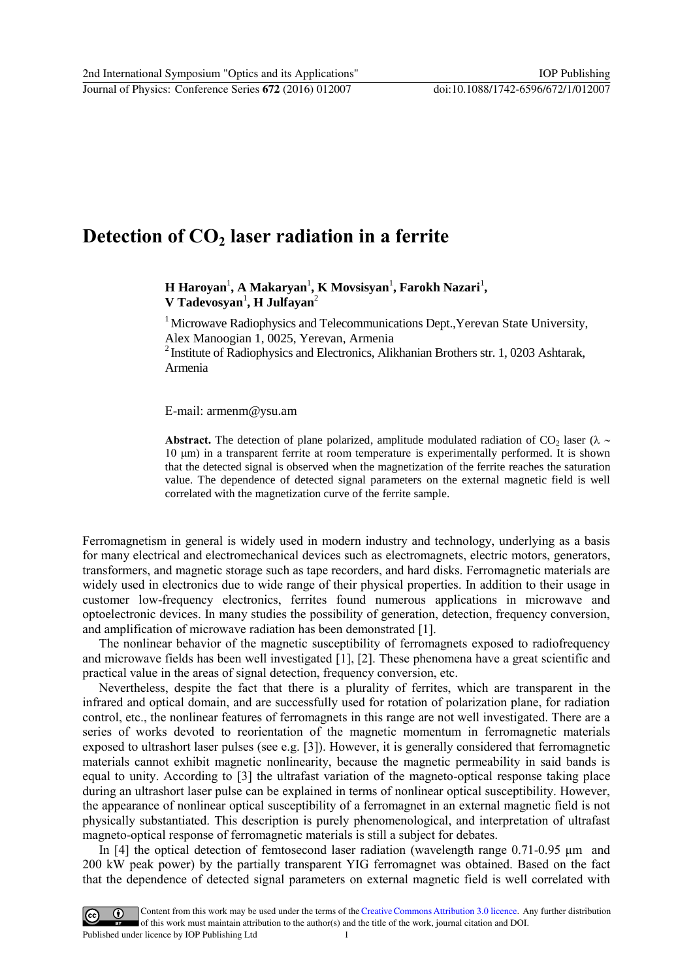## **Detection of CO2 laser radiation in a ferrite**

**H** Haroyan<sup>1</sup>, A Makaryan<sup>1</sup>, **K** Movsisyan<sup>1</sup>, Farokh Nazari<sup>1</sup>,  $V$  **Tadevosyan<sup>1</sup>**, **H Julfayan**<sup>2</sup>

<sup>1</sup> Microwave Radiophysics and Telecommunications Dept., Yerevan State University, Alex Manoogian 1, 0025, Yerevan, Armenia

 $2$ Institute of Radiophysics and Electronics, Alikhanian Brothers str. 1, 0203 Ashtarak, Armenia

E-mail: [armenm@ysu.am](mailto:armenm@ysu.am)

**Abstract.** The detection of plane polarized, amplitude modulated radiation of CO<sub>2</sub> laser ( $\lambda \sim$ 10 μm) in a transparent ferrite at room temperature is experimentally performed. It is shown that the detected signal is observed when the magnetization of the ferrite reaches the saturation value. The dependence of detected signal parameters on the external magnetic field is well correlated with the magnetization curve of the ferrite sample.

Ferromagnetism in general is widely used in modern industry and technology, underlying as a basis for many electrical and electromechanical devices such as electromagnets, electric motors, generators, transformers, and magnetic storage such as tape recorders, and hard disks. Ferromagnetic materials are widely used in electronics due to wide range of their physical properties. In addition to their usage in customer low-frequency electronics, ferrites found numerous applications in microwave and optoelectronic devices. In many studies the possibility of generation, detection, frequency conversion, and amplification of microwave radiation has been demonstrated [\[1\].](#page-4-0)

 The nonlinear behavior of the magnetic susceptibility of ferromagnets exposed to radiofrequency and microwave fields has been well investigated [\[1\],](#page-4-0) [2]. These phenomena have а great scientific and practical value in the areas of signal detection, frequency conversion, etc.

 Nevertheless, despite the fact that there is a plurality of ferrites, which are transparent in the infrared and optical domain, and are successfully used for rotation of polarization plane, for radiation control, etc., the nonlinear features of ferromagnets in this range are not well investigated. There are a series of works devoted to reorientation of the magnetic momentum in ferromagnetic materials exposed to ultrashort laser pulses (see e.g. [3]). However, it is generally considered that ferromagnetic materials cannot exhibit magnetic nonlinearity, because the magnetic permeability in said bands is equal to unity. According to [3] the ultrafast variation of the magneto-optical response taking place during an ultrashort laser pulse can be explained in terms of nonlinear optical susceptibility. However, the appearance of nonlinear optical susceptibility of a ferromagnet in an external magnetic field is not physically substantiated. This description is purely phenomenological, and interpretation of ultrafast magneto-optical response of ferromagnetic materials is still a subject for debates.

In [4] the optical detection of femtosecond laser radiation (wavelength range 0.71-0.95 μm and 200 kW peak power) by the partially transparent YIG ferromagnet was obtained. Based on the fact that the dependence of detected signal parameters on external magnetic field is well correlated with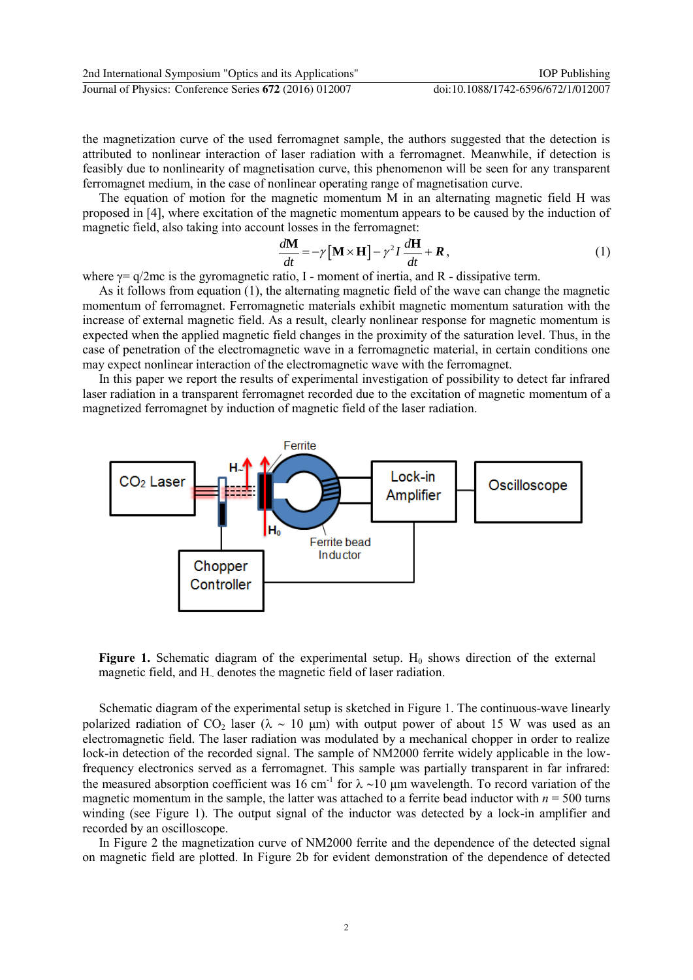the magnetization curve of the used ferromagnet sample, the authors suggested that the detection is attributed to nonlinear interaction of laser radiation with a ferromagnet. Meanwhile, if detection is feasibly due to nonlinearity of magnetisation curve, this phenomenon will be seen for any transparent ferromagnet medium, in the case of nonlinear operating range of magnetisation curve.

 The equation of motion for the magnetic momentum M in an alternating magnetic field H was proposed in [4], where excitation of the magnetic momentum appears to be caused by the induction of

magnetic field, also taking into account losses in the ferromagnet:  
\n
$$
\frac{d\mathbf{M}}{dt} = -\gamma [\mathbf{M} \times \mathbf{H}] - \gamma^2 I \frac{d\mathbf{H}}{dt} + \mathbf{R},
$$
\n(1)

where  $\gamma = q/2$ mc is the gyromagnetic ratio, I - moment of inertia, and R - dissipative term.

 As it follows from equation (1), the alternating magnetic field of the wave can change the magnetic momentum of ferromagnet. Ferromagnetic materials exhibit magnetic momentum saturation with the increase of external magnetic field. As a result, clearly nonlinear response for magnetic momentum is expected when the applied magnetic field changes in the proximity of the saturation level. Thus, in the case of penetration of the electromagnetic wave in a ferromagnetic material, in certain conditions one may expect nonlinear interaction of the electromagnetic wave with the ferromagnet.

In this paper we report the results of experimental investigation of possibility to detect far infrared laser radiation in a transparent ferromagnet recorded due to the excitation of magnetic momentum of a magnetized ferromagnet by induction of magnetic field of the laser radiation.



**Figure 1.** Schematic diagram of the experimental setup.  $H_0$  shows direction of the external magnetic field, and H<sub> $\sim$ </sub> denotes the magnetic field of laser radiation.

Schematic diagram of the experimental setup is sketched in Figure 1. The continuous-wave linearly polarized radiation of CO<sub>2</sub> laser ( $\lambda \sim 10$  µm) with output power of about 15 W was used as an electromagnetic field. The laser radiation was modulated by a mechanical chopper in order to realize lock-in detection of the recorded signal. The sample of NM2000 ferrite widely applicable in the lowfrequency electronics served as a ferromagnet. This sample was partially transparent in far infrared: the measured absorption coefficient was 16 cm<sup>-1</sup> for  $\lambda \sim 10$  µm wavelength. To record variation of the magnetic momentum in the sample, the latter was attached to a ferrite bead inductor with  $n = 500$  turns winding (see Figure 1). The output signal of the inductor was detected by a lock-in amplifier and recorded by an oscilloscope.

 In Figure 2 the magnetization curve of NM2000 ferrite and the dependence of the detected signal on magnetic field are plotted. In Figure 2b for evident demonstration of the dependence of detected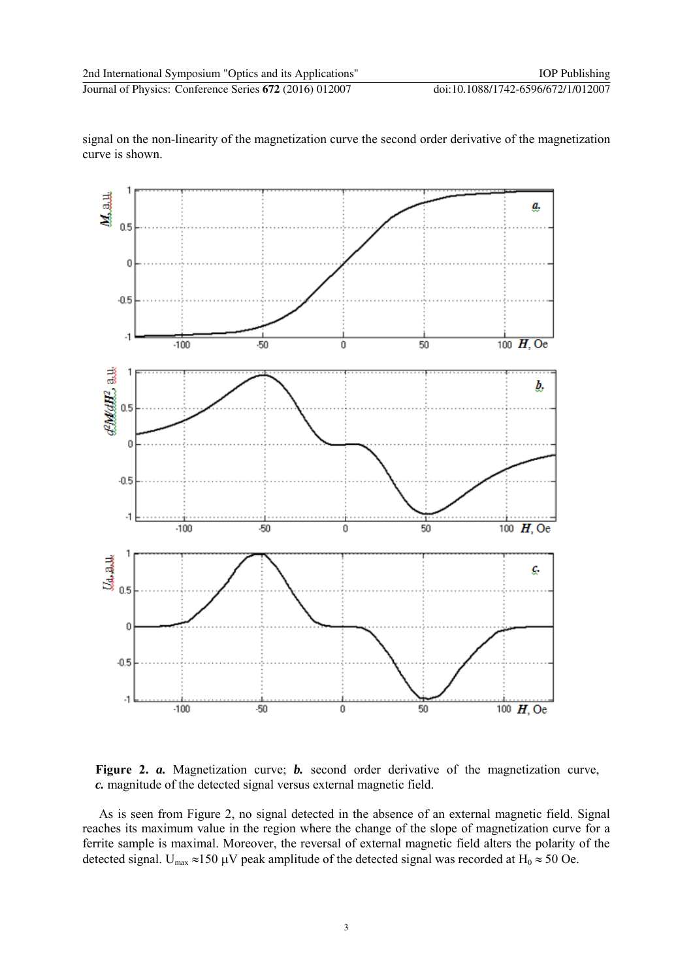

signal on the non-linearity of the magnetization curve the second order derivative of the magnetization curve is shown.

**Figure 2.** *a.* Magnetization curve; *b.* second order derivative of the magnetization curve, *c.* magnitude of the detected signal versus external magnetic field.

Аs is seen from Figure 2, no signal detected in the absence of an external magnetic field. Signal reaches its maximum value in the region where the change of the slope of magnetization curve for a ferrite sample is maximal. Moreover, the reversal of external magnetic field alters the polarity of the detected signal.  $U_{max} \approx 150 \mu V$  peak amplitude of the detected signal was recorded at  $H_0 \approx 50$  Oe.